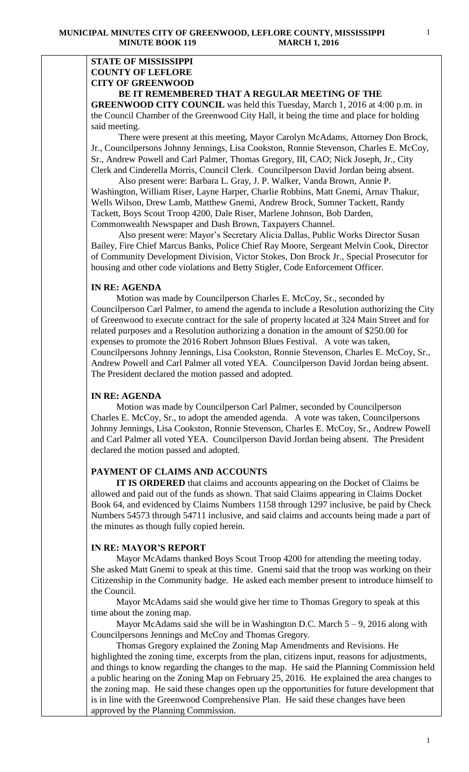#### **STATE OF MISSISSIPPI COUNTY OF LEFLORE CITY OF GREENWOOD BE IT REMEMBERED THAT A REGULAR MEETING OF THE**

**GREENWOOD CITY COUNCIL** was held this Tuesday, March 1, 2016 at 4:00 p.m. in the Council Chamber of the Greenwood City Hall, it being the time and place for holding said meeting.

There were present at this meeting, Mayor Carolyn McAdams, Attorney Don Brock, Jr., Councilpersons Johnny Jennings, Lisa Cookston, Ronnie Stevenson, Charles E. McCoy, Sr., Andrew Powell and Carl Palmer, Thomas Gregory, III, CAO; Nick Joseph, Jr., City Clerk and Cinderella Morris, Council Clerk. Councilperson David Jordan being absent.

 Also present were: Barbara L. Gray, J. P. Walker, Vanda Brown, Annie P. Washington, William Riser, Layne Harper, Charlie Robbins, Matt Gnemi, Arnav Thakur, Wells Wilson, Drew Lamb, Matthew Gnemi, Andrew Brock, Sumner Tackett, Randy Tackett, Boys Scout Troop 4200, Dale Riser, Marlene Johnson, Bob Darden, Commonwealth Newspaper and Dash Brown, Taxpayers Channel.

 Also present were: Mayor's Secretary Alicia Dallas, Public Works Director Susan Bailey, Fire Chief Marcus Banks, Police Chief Ray Moore, Sergeant Melvin Cook, Director of Community Development Division, Victor Stokes, Don Brock Jr., Special Prosecutor for housing and other code violations and Betty Stigler, Code Enforcement Officer.

#### **IN RE: AGENDA**

 Motion was made by Councilperson Charles E. McCoy, Sr., seconded by Councilperson Carl Palmer, to amend the agenda to include a Resolution authorizing the City of Greenwood to execute contract for the sale of property located at 324 Main Street and for related purposes and a Resolution authorizing a donation in the amount of \$250.00 for expenses to promote the 2016 Robert Johnson Blues Festival. A vote was taken, Councilpersons Johnny Jennings, Lisa Cookston, Ronnie Stevenson, Charles E. McCoy, Sr., Andrew Powell and Carl Palmer all voted YEA. Councilperson David Jordan being absent. The President declared the motion passed and adopted.

#### **IN RE: AGENDA**

 Motion was made by Councilperson Carl Palmer, seconded by Councilperson Charles E. McCoy, Sr., to adopt the amended agenda. A vote was taken, Councilpersons Johnny Jennings, Lisa Cookston, Ronnie Stevenson, Charles E. McCoy, Sr., Andrew Powell and Carl Palmer all voted YEA. Councilperson David Jordan being absent. The President declared the motion passed and adopted.

#### **PAYMENT OF CLAIMS AND ACCOUNTS**

 **IT IS ORDERED** that claims and accounts appearing on the Docket of Claims be allowed and paid out of the funds as shown. That said Claims appearing in Claims Docket Book 64, and evidenced by Claims Numbers 1158 through 1297 inclusive, be paid by Check Numbers 54573 through 54711 inclusive, and said claims and accounts being made a part of the minutes as though fully copied herein.

#### **IN RE: MAYOR'S REPORT**

 Mayor McAdams thanked Boys Scout Troop 4200 for attending the meeting today. She asked Matt Gnemi to speak at this time. Gnemi said that the troop was working on their Citizenship in the Community badge. He asked each member present to introduce himself to the Council.

 Mayor McAdams said she would give her time to Thomas Gregory to speak at this time about the zoning map.

Mayor McAdams said she will be in Washington D.C. March  $5 - 9$ , 2016 along with Councilpersons Jennings and McCoy and Thomas Gregory.

 Thomas Gregory explained the Zoning Map Amendments and Revisions. He highlighted the zoning time, excerpts from the plan, citizens input, reasons for adjustments, and things to know regarding the changes to the map. He said the Planning Commission held a public hearing on the Zoning Map on February 25, 2016. He explained the area changes to the zoning map. He said these changes open up the opportunities for future development that is in line with the Greenwood Comprehensive Plan. He said these changes have been approved by the Planning Commission.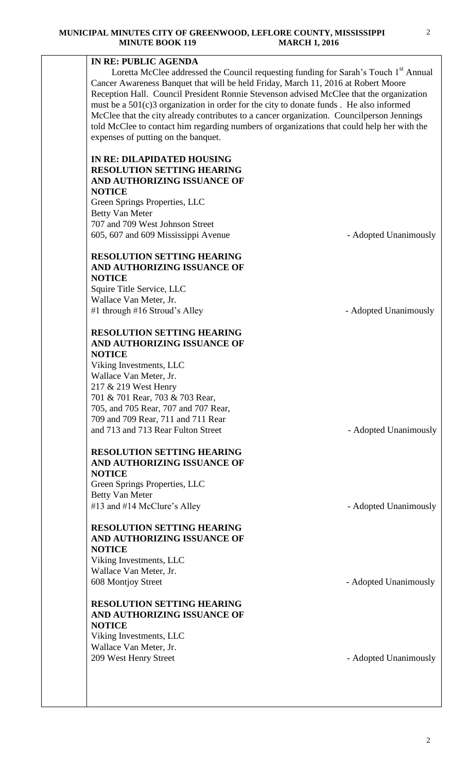# **IN RE: PUBLIC AGENDA**

Loretta McClee addressed the Council requesting funding for Sarah's Touch  $1<sup>st</sup>$  Annual Cancer Awareness Banquet that will be held Friday, March 11, 2016 at Robert Moore Reception Hall. Council President Ronnie Stevenson advised McClee that the organization must be a 501(c)3 organization in order for the city to donate funds . He also informed McClee that the city already contributes to a cancer organization. Councilperson Jennings told McClee to contact him regarding numbers of organizations that could help her with the expenses of putting on the banquet.

# **IN RE: DILAPIDATED HOUSING RESOLUTION SETTING HEARING AND AUTHORIZING ISSUANCE OF NOTICE**

Green Springs Properties, LLC Betty Van Meter 707 and 709 West Johnson Street 605, 607 and 609 Mississippi Avenue - Adopted Unanimously

# **RESOLUTION SETTING HEARING AND AUTHORIZING ISSUANCE OF NOTICE**

Squire Title Service, LLC Wallace Van Meter, Jr. #1 through #16 Stroud's Alley - Adopted Unanimously

# **RESOLUTION SETTING HEARING AND AUTHORIZING ISSUANCE OF NOTICE**

Viking Investments, LLC Wallace Van Meter, Jr. 217 & 219 West Henry 701 & 701 Rear, 703 & 703 Rear, 705, and 705 Rear, 707 and 707 Rear, 709 and 709 Rear, 711 and 711 Rear and 713 and 713 Rear Fulton Street - Adopted Unanimously

# **RESOLUTION SETTING HEARING AND AUTHORIZING ISSUANCE OF NOTICE**

Green Springs Properties, LLC Betty Van Meter #13 and #14 McClure's Alley - Adopted Unanimously

# **RESOLUTION SETTING HEARING AND AUTHORIZING ISSUANCE OF NOTICE**

Viking Investments, LLC Wallace Van Meter, Jr. 608 Montjoy Street - Adopted Unanimously

# **RESOLUTION SETTING HEARING AND AUTHORIZING ISSUANCE OF NOTICE**

Viking Investments, LLC Wallace Van Meter, Jr. 209 West Henry Street **- Adopted Unanimously**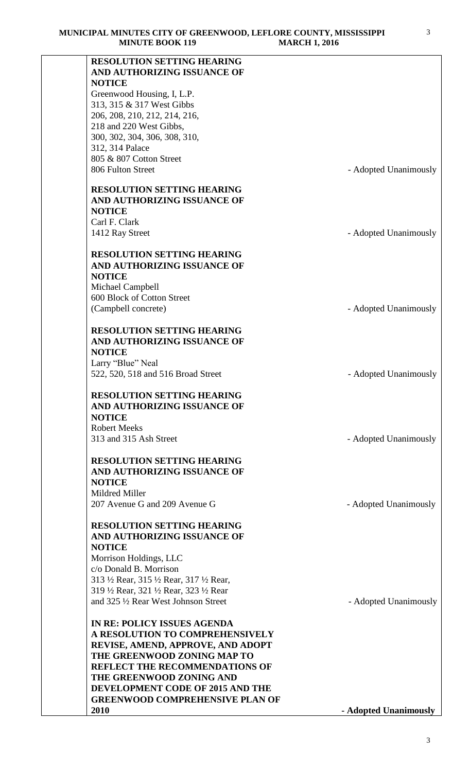| MINUTE BOOK 119                                                            | MARCH 1, 2010         |
|----------------------------------------------------------------------------|-----------------------|
| RESOLUTION SETTING HEARING<br>AND AUTHORIZING ISSUANCE OF                  |                       |
| <b>NOTICE</b><br>Greenwood Housing, I, L.P.                                |                       |
| 313, 315 & 317 West Gibbs                                                  |                       |
| 206, 208, 210, 212, 214, 216,                                              |                       |
| 218 and 220 West Gibbs,<br>300, 302, 304, 306, 308, 310,                   |                       |
| 312, 314 Palace                                                            |                       |
| 805 & 807 Cotton Street                                                    |                       |
| 806 Fulton Street                                                          | - Adopted Unanimously |
| <b>RESOLUTION SETTING HEARING</b>                                          |                       |
| AND AUTHORIZING ISSUANCE OF<br><b>NOTICE</b>                               |                       |
| Carl F. Clark                                                              |                       |
| 1412 Ray Street                                                            | - Adopted Unanimously |
| <b>RESOLUTION SETTING HEARING</b>                                          |                       |
| AND AUTHORIZING ISSUANCE OF<br><b>NOTICE</b>                               |                       |
| Michael Campbell                                                           |                       |
| 600 Block of Cotton Street                                                 |                       |
| (Campbell concrete)                                                        | - Adopted Unanimously |
| <b>RESOLUTION SETTING HEARING</b>                                          |                       |
| AND AUTHORIZING ISSUANCE OF                                                |                       |
| <b>NOTICE</b><br>Larry "Blue" Neal                                         |                       |
| 522, 520, 518 and 516 Broad Street                                         | - Adopted Unanimously |
| <b>RESOLUTION SETTING HEARING</b>                                          |                       |
| AND AUTHORIZING ISSUANCE OF                                                |                       |
| <b>NOTICE</b><br><b>Robert Meeks</b>                                       |                       |
| 313 and 315 Ash Street                                                     | - Adopted Unanimously |
| <b>RESOLUTION SETTING HEARING</b>                                          |                       |
| AND AUTHORIZING ISSUANCE OF                                                |                       |
| <b>NOTICE</b>                                                              |                       |
| Mildred Miller<br>207 Avenue G and 209 Avenue G                            | - Adopted Unanimously |
|                                                                            |                       |
| <b>RESOLUTION SETTING HEARING</b><br>AND AUTHORIZING ISSUANCE OF           |                       |
| <b>NOTICE</b>                                                              |                       |
| Morrison Holdings, LLC                                                     |                       |
| c/o Donald B. Morrison<br>313 1/2 Rear, 315 1/2 Rear, 317 1/2 Rear,        |                       |
| 319 1/2 Rear, 321 1/2 Rear, 323 1/2 Rear                                   |                       |
| and 325 1/2 Rear West Johnson Street                                       | - Adopted Unanimously |
| <b>IN RE: POLICY ISSUES AGENDA</b>                                         |                       |
| A RESOLUTION TO COMPREHENSIVELY                                            |                       |
| REVISE, AMEND, APPROVE, AND ADOPT<br>THE GREENWOOD ZONING MAP TO           |                       |
| <b>REFLECT THE RECOMMENDATIONS OF</b>                                      |                       |
| THE GREENWOOD ZONING AND                                                   |                       |
| DEVELOPMENT CODE OF 2015 AND THE<br><b>GREENWOOD COMPREHENSIVE PLAN OF</b> |                       |
| 2010                                                                       | - Adopted Unanimously |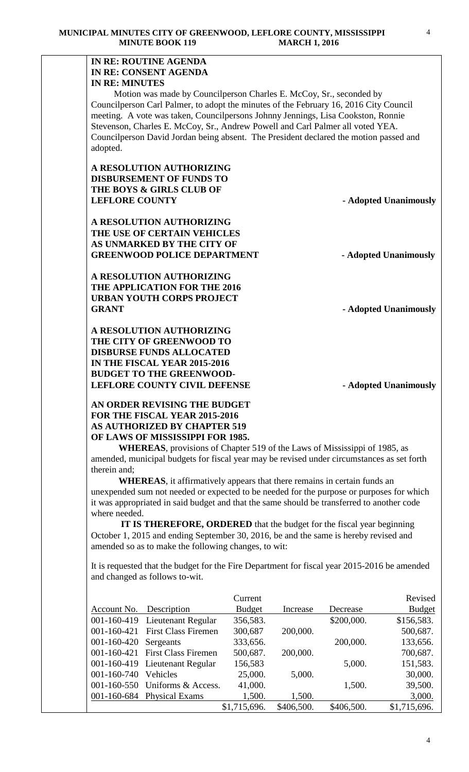# **IN RE: ROUTINE AGENDA IN RE: CONSENT AGENDA IN RE: MINUTES**

 Motion was made by Councilperson Charles E. McCoy, Sr., seconded by Councilperson Carl Palmer, to adopt the minutes of the February 16, 2016 City Council meeting. A vote was taken, Councilpersons Johnny Jennings, Lisa Cookston, Ronnie Stevenson, Charles E. McCoy, Sr., Andrew Powell and Carl Palmer all voted YEA. Councilperson David Jordan being absent. The President declared the motion passed and adopted.

**A RESOLUTION AUTHORIZING DISBURSEMENT OF FUNDS TO THE BOYS & GIRLS CLUB OF LEFLORE COUNTY - Adopted Unanimously** 

**A RESOLUTION AUTHORIZING THE USE OF CERTAIN VEHICLES AS UNMARKED BY THE CITY OF** GREENWOOD POLICE DEPARTMENT - Adopted Unanimously

**A RESOLUTION AUTHORIZING THE APPLICATION FOR THE 2016 URBAN YOUTH CORPS PROJECT**  GRANT - **Adopted Unanimously** 

**A RESOLUTION AUTHORIZING THE CITY OF GREENWOOD TO DISBURSE FUNDS ALLOCATED IN THE FISCAL YEAR 2015-2016 BUDGET TO THE GREENWOOD-LEFLORE COUNTY CIVIL DEFENSE** - Adopted Unanimously

**AN ORDER REVISING THE BUDGET FOR THE FISCAL YEAR 2015-2016 AS AUTHORIZED BY CHAPTER 519 OF LAWS OF MISSISSIPPI FOR 1985.**

**WHEREAS**, provisions of Chapter 519 of the Laws of Mississippi of 1985, as amended, municipal budgets for fiscal year may be revised under circumstances as set forth therein and;

**WHEREAS**, it affirmatively appears that there remains in certain funds an unexpended sum not needed or expected to be needed for the purpose or purposes for which it was appropriated in said budget and that the same should be transferred to another code where needed.

 **IT IS THEREFORE, ORDERED** that the budget for the fiscal year beginning October 1, 2015 and ending September 30, 2016, be and the same is hereby revised and amended so as to make the following changes, to wit:

It is requested that the budget for the Fire Department for fiscal year 2015-2016 be amended and changed as follows to-wit.

|                   |                                | Current       |            |            | Revised       |
|-------------------|--------------------------------|---------------|------------|------------|---------------|
| Account No.       | Description                    | <b>Budget</b> | Increase   | Decrease   | <b>Budget</b> |
| 001-160-419       | Lieutenant Regular             | 356,583.      |            | \$200,000. | \$156,583.    |
| 001-160-421       | <b>First Class Firemen</b>     | 300,687       | 200,000.   |            | 500,687.      |
| 001-160-420       | Sergeants                      | 333,656.      |            | 200,000.   | 133,656.      |
| 001-160-421       | <b>First Class Firemen</b>     | 500,687.      | 200,000.   |            | 700,687.      |
|                   | 001-160-419 Lieutenant Regular | 156,583       |            | 5,000.     | 151,583.      |
| 001-160-740       | Vehicles                       | 25,000.       | 5,000.     |            | 30,000.       |
| $001 - 160 - 550$ | Uniforms & Access.             | 41,000.       |            | 1,500.     | 39,500.       |
|                   | 001-160-684 Physical Exams     | 1,500.        | 1,500.     |            | 3,000.        |
|                   |                                | \$1,715,696.  | \$406,500. | \$406,500. | \$1,715,696.  |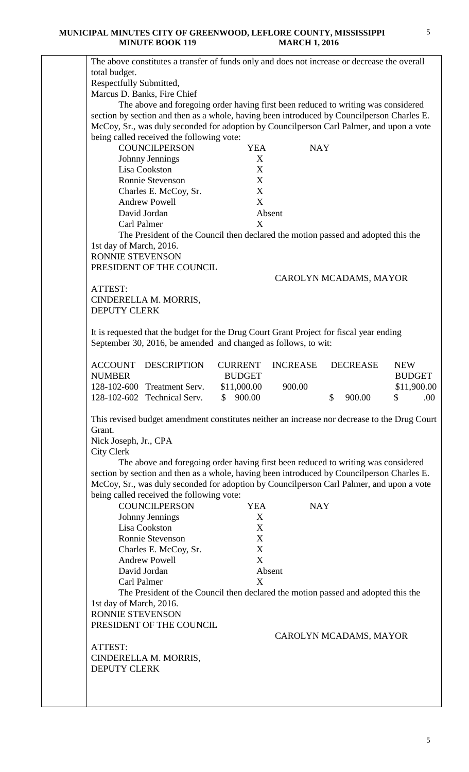| The above constitutes a transfer of funds only and does not increase or decrease the overall |                        |                 |                        |               |
|----------------------------------------------------------------------------------------------|------------------------|-----------------|------------------------|---------------|
| total budget.                                                                                |                        |                 |                        |               |
| Respectfully Submitted,                                                                      |                        |                 |                        |               |
| Marcus D. Banks, Fire Chief                                                                  |                        |                 |                        |               |
| The above and foregoing order having first been reduced to writing was considered            |                        |                 |                        |               |
| section by section and then as a whole, having been introduced by Councilperson Charles E.   |                        |                 |                        |               |
| McCoy, Sr., was duly seconded for adoption by Councilperson Carl Palmer, and upon a vote     |                        |                 |                        |               |
| being called received the following vote:                                                    |                        |                 |                        |               |
| <b>COUNCILPERSON</b>                                                                         | <b>YEA</b>             | <b>NAY</b>      |                        |               |
| Johnny Jennings                                                                              | X                      |                 |                        |               |
| Lisa Cookston                                                                                | X                      |                 |                        |               |
| Ronnie Stevenson                                                                             | X<br>X                 |                 |                        |               |
| Charles E. McCoy, Sr.<br><b>Andrew Powell</b>                                                | X                      |                 |                        |               |
| David Jordan                                                                                 |                        | Absent          |                        |               |
| <b>Carl Palmer</b>                                                                           | X                      |                 |                        |               |
| The President of the Council then declared the motion passed and adopted this the            |                        |                 |                        |               |
| 1st day of March, 2016.                                                                      |                        |                 |                        |               |
| RONNIE STEVENSON                                                                             |                        |                 |                        |               |
| PRESIDENT OF THE COUNCIL                                                                     |                        |                 |                        |               |
|                                                                                              |                        |                 | CAROLYN MCADAMS, MAYOR |               |
| ATTEST:                                                                                      |                        |                 |                        |               |
| CINDERELLA M. MORRIS,                                                                        |                        |                 |                        |               |
| <b>DEPUTY CLERK</b>                                                                          |                        |                 |                        |               |
|                                                                                              |                        |                 |                        |               |
| It is requested that the budget for the Drug Court Grant Project for fiscal year ending      |                        |                 |                        |               |
| September 30, 2016, be amended and changed as follows, to wit:                               |                        |                 |                        |               |
|                                                                                              |                        |                 |                        |               |
| <b>ACCOUNT</b><br><b>DESCRIPTION</b>                                                         | <b>CURRENT</b>         | <b>INCREASE</b> | <b>DECREASE</b>        | <b>NEW</b>    |
| <b>NUMBER</b>                                                                                | <b>BUDGET</b>          |                 |                        | <b>BUDGET</b> |
| 128-102-600 Treatment Serv.                                                                  | \$11,000.00            | 900.00          |                        | \$11,900.00   |
| 128-102-602 Technical Serv.                                                                  | $\mathbb{S}$<br>900.00 |                 | \$<br>900.00           | \$<br>.00     |
|                                                                                              |                        |                 |                        |               |
| This revised budget amendment constitutes neither an increase nor decrease to the Drug Court |                        |                 |                        |               |
| Grant.                                                                                       |                        |                 |                        |               |
| Nick Joseph, Jr., CPA                                                                        |                        |                 |                        |               |
| <b>City Clerk</b>                                                                            |                        |                 |                        |               |
| The above and foregoing order having first been reduced to writing was considered            |                        |                 |                        |               |
| section by section and then as a whole, having been introduced by Councilperson Charles E.   |                        |                 |                        |               |
| McCoy, Sr., was duly seconded for adoption by Councilperson Carl Palmer, and upon a vote     |                        |                 |                        |               |
| being called received the following vote:<br><b>COUNCILPERSON</b>                            | <b>YEA</b>             | <b>NAY</b>      |                        |               |
|                                                                                              | X                      |                 |                        |               |
| Johnny Jennings<br>Lisa Cookston                                                             | X                      |                 |                        |               |
| Ronnie Stevenson                                                                             | X                      |                 |                        |               |
| Charles E. McCoy, Sr.                                                                        | X                      |                 |                        |               |
| <b>Andrew Powell</b>                                                                         | X                      |                 |                        |               |
| David Jordan                                                                                 |                        | Absent          |                        |               |
| Carl Palmer                                                                                  | X                      |                 |                        |               |
| The President of the Council then declared the motion passed and adopted this the            |                        |                 |                        |               |
| 1st day of March, 2016.                                                                      |                        |                 |                        |               |
| RONNIE STEVENSON                                                                             |                        |                 |                        |               |
|                                                                                              |                        |                 |                        |               |
| PRESIDENT OF THE COUNCIL                                                                     |                        |                 |                        |               |
|                                                                                              |                        |                 | CAROLYN MCADAMS, MAYOR |               |
| ATTEST:                                                                                      |                        |                 |                        |               |
| CINDERELLA M. MORRIS,                                                                        |                        |                 |                        |               |
| <b>DEPUTY CLERK</b>                                                                          |                        |                 |                        |               |
|                                                                                              |                        |                 |                        |               |
|                                                                                              |                        |                 |                        |               |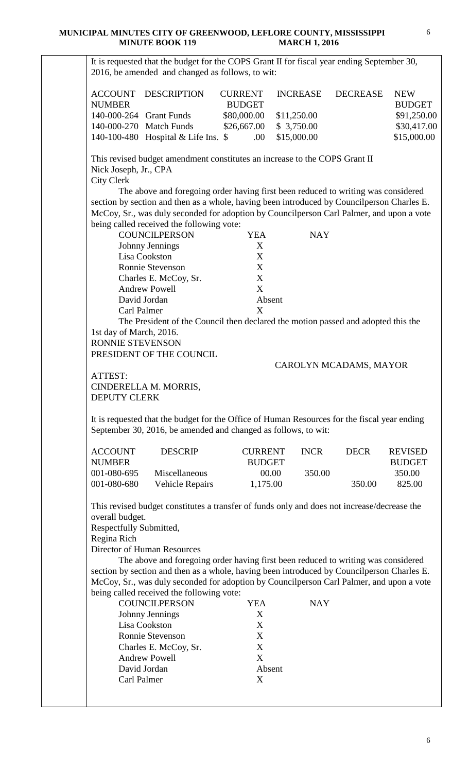It is requested that the budget for the COPS Grant II for fiscal year ending September 30, 2016, be amended and changed as follows, to wit: ACCOUNT DESCRIPTION CURRENT INCREASE DECREASE NEW NUMBER BUDGET BUDGET 140-000-264 Grant Funds  $$80,000.00 \quad $11,250.00$   $$91,250.00$ 140-000-270 Match Funds \$26,667.00 \$ 3,750.00 \$30,417.00 140-100-480 Hospital & Life Ins. \$ .00 \$15,000.00 \$15,000.00 This revised budget amendment constitutes an increase to the COPS Grant II Nick Joseph, Jr., CPA City Clerk The above and foregoing order having first been reduced to writing was considered section by section and then as a whole, having been introduced by Councilperson Charles E. McCoy, Sr., was duly seconded for adoption by Councilperson Carl Palmer, and upon a vote being called received the following vote: COUNCILPERSON YEA NAY Johnny Jennings X<br>
Lisa Cookston X Lisa Cookston Ronnie Stevenson X Charles E. McCoy, Sr. X Andrew Powell X David Jordan Absent Carl Palmer X The President of the Council then declared the motion passed and adopted this the 1st day of March, 2016. RONNIE STEVENSON PRESIDENT OF THE COUNCIL CAROLYN MCADAMS, MAYOR ATTEST: CINDERELLA M. MORRIS, DEPUTY CLERK It is requested that the budget for the Office of Human Resources for the fiscal year ending September 30, 2016, be amended and changed as follows, to wit: ACCOUNT DESCRIP CURRENT INCR DECR REVISED NUMBER BUDGET BUDGET 001-080-695 Miscellaneous 00.00 350.00 350.00 350.00 001-080-680 Vehicle Repairs 1,175.00 350.00 825.00 This revised budget constitutes a transfer of funds only and does not increase/decrease the overall budget. Respectfully Submitted, Regina Rich Director of Human Resources The above and foregoing order having first been reduced to writing was considered section by section and then as a whole, having been introduced by Councilperson Charles E. McCoy, Sr., was duly seconded for adoption by Councilperson Carl Palmer, and upon a vote being called received the following vote: COUNCILPERSON YEA NAY Johnny Jennings X Lisa Cookston X Ronnie Stevenson X Charles E. McCoy, Sr. X Andrew Powell X David Jordan Absent Carl Palmer X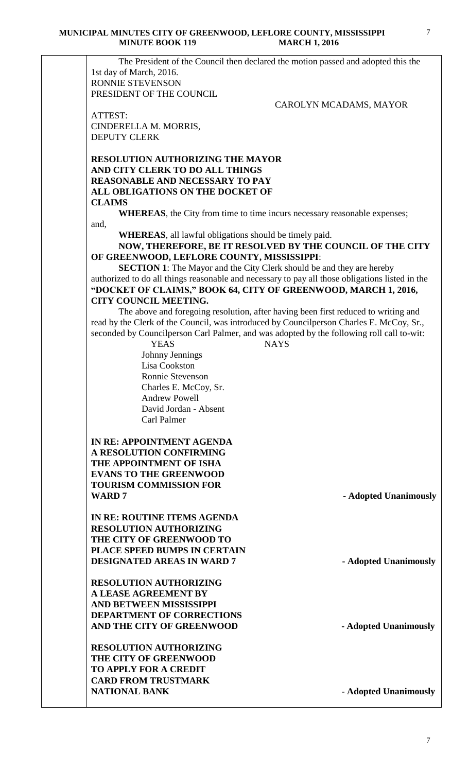The President of the Council then declared the motion passed and adopted this the 1st day of March, 2016. RONNIE STEVENSON PRESIDENT OF THE COUNCIL

CAROLYN MCADAMS, MAYOR

ATTEST: CINDERELLA M. MORRIS, DEPUTY CLERK

### **RESOLUTION AUTHORIZING THE MAYOR AND CITY CLERK TO DO ALL THINGS REASONABLE AND NECESSARY TO PAY ALL OBLIGATIONS ON THE DOCKET OF CLAIMS**

**WHEREAS**, the City from time to time incurs necessary reasonable expenses; and,

**WHEREAS**, all lawful obligations should be timely paid.

#### **NOW, THEREFORE, BE IT RESOLVED BY THE COUNCIL OF THE CITY OF GREENWOOD, LEFLORE COUNTY, MISSISSIPPI**:

**SECTION 1**: The Mayor and the City Clerk should be and they are hereby authorized to do all things reasonable and necessary to pay all those obligations listed in the **"DOCKET OF CLAIMS," BOOK 64, CITY OF GREENWOOD, MARCH 1, 2016, CITY COUNCIL MEETING.**

The above and foregoing resolution, after having been first reduced to writing and read by the Clerk of the Council, was introduced by Councilperson Charles E. McCoy, Sr., seconded by Councilperson Carl Palmer, and was adopted by the following roll call to-wit:

> YEAS NAYS Johnny Jennings Lisa Cookston Ronnie Stevenson Charles E. McCoy, Sr. Andrew Powell David Jordan - Absent Carl Palmer

**IN RE: APPOINTMENT AGENDA A RESOLUTION CONFIRMING THE APPOINTMENT OF ISHA EVANS TO THE GREENWOOD TOURISM COMMISSION FOR WARD 7** - **Adopted Unanimously** 

**IN RE: ROUTINE ITEMS AGENDA RESOLUTION AUTHORIZING THE CITY OF GREENWOOD TO PLACE SPEED BUMPS IN CERTAIN DESIGNATED AREAS IN WARD 7 - Adopted Unanimously**

**RESOLUTION AUTHORIZING A LEASE AGREEMENT BY AND BETWEEN MISSISSIPPI DEPARTMENT OF CORRECTIONS AND THE CITY OF GREENWOOD - Adopted Unanimously**

**RESOLUTION AUTHORIZING THE CITY OF GREENWOOD TO APPLY FOR A CREDIT CARD FROM TRUSTMARK NATIONAL BANK** - **Adopted Unanimously**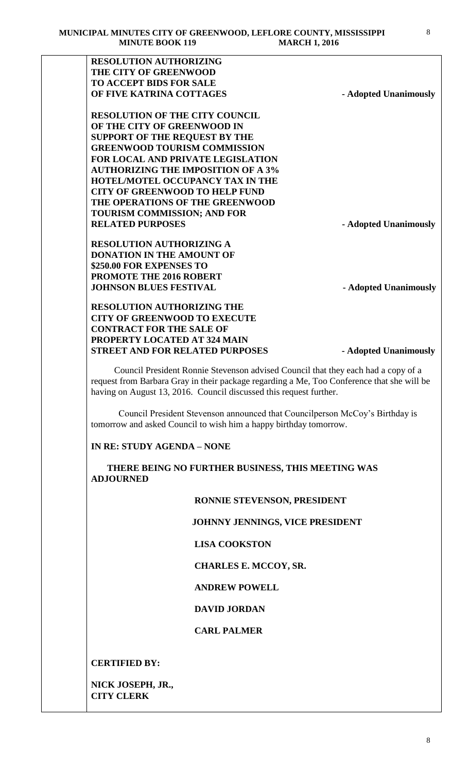| <b>RESOLUTION OF THE CITY COUNCIL</b><br>OF THE CITY OF GREENWOOD IN<br><b>SUPPORT OF THE REQUEST BY THE</b><br><b>GREENWOOD TOURISM COMMISSION</b><br>FOR LOCAL AND PRIVATE LEGISLATION<br><b>AUTHORIZING THE IMPOSITION OF A 3%</b><br>HOTEL/MOTEL OCCUPANCY TAX IN THE<br><b>CITY OF GREENWOOD TO HELP FUND</b><br>THE OPERATIONS OF THE GREENWOOD<br><b>TOURISM COMMISSION; AND FOR</b><br><b>RESOLUTION AUTHORIZING A</b><br><b>DONATION IN THE AMOUNT OF</b><br>\$250.00 FOR EXPENSES TO<br>PROMOTE THE 2016 ROBERT<br><b>JOHNSON BLUES FESTIVAL</b><br>- Adopted Unanimously<br><b>CITY OF GREENWOOD TO EXECUTE</b><br><b>STREET AND FOR RELATED PURPOSES</b><br>Council President Ronnie Stevenson advised Council that they each had a copy of a<br>request from Barbara Gray in their package regarding a Me, Too Conference that she will be<br>having on August 13, 2016. Council discussed this request further.<br>Council President Stevenson announced that Council person McCoy's Birthday is<br>tomorrow and asked Council to wish him a happy birthday tomorrow.<br>THERE BEING NO FURTHER BUSINESS, THIS MEETING WAS<br>RONNIE STEVENSON, PRESIDENT<br>JOHNNY JENNINGS, VICE PRESIDENT<br><b>LISA COOKSTON</b><br><b>CHARLES E. MCCOY, SR.</b><br><b>ANDREW POWELL</b><br><b>DAVID JORDAN</b><br><b>CARL PALMER</b> |                                   |                       |
|-----------------------------------------------------------------------------------------------------------------------------------------------------------------------------------------------------------------------------------------------------------------------------------------------------------------------------------------------------------------------------------------------------------------------------------------------------------------------------------------------------------------------------------------------------------------------------------------------------------------------------------------------------------------------------------------------------------------------------------------------------------------------------------------------------------------------------------------------------------------------------------------------------------------------------------------------------------------------------------------------------------------------------------------------------------------------------------------------------------------------------------------------------------------------------------------------------------------------------------------------------------------------------------------------------------------------------------------|-----------------------------------|-----------------------|
|                                                                                                                                                                                                                                                                                                                                                                                                                                                                                                                                                                                                                                                                                                                                                                                                                                                                                                                                                                                                                                                                                                                                                                                                                                                                                                                                         | <b>RESOLUTION AUTHORIZING</b>     |                       |
|                                                                                                                                                                                                                                                                                                                                                                                                                                                                                                                                                                                                                                                                                                                                                                                                                                                                                                                                                                                                                                                                                                                                                                                                                                                                                                                                         | THE CITY OF GREENWOOD             |                       |
|                                                                                                                                                                                                                                                                                                                                                                                                                                                                                                                                                                                                                                                                                                                                                                                                                                                                                                                                                                                                                                                                                                                                                                                                                                                                                                                                         | <b>TO ACCEPT BIDS FOR SALE</b>    |                       |
|                                                                                                                                                                                                                                                                                                                                                                                                                                                                                                                                                                                                                                                                                                                                                                                                                                                                                                                                                                                                                                                                                                                                                                                                                                                                                                                                         | OF FIVE KATRINA COTTAGES          | - Adopted Unanimously |
|                                                                                                                                                                                                                                                                                                                                                                                                                                                                                                                                                                                                                                                                                                                                                                                                                                                                                                                                                                                                                                                                                                                                                                                                                                                                                                                                         |                                   |                       |
|                                                                                                                                                                                                                                                                                                                                                                                                                                                                                                                                                                                                                                                                                                                                                                                                                                                                                                                                                                                                                                                                                                                                                                                                                                                                                                                                         |                                   |                       |
|                                                                                                                                                                                                                                                                                                                                                                                                                                                                                                                                                                                                                                                                                                                                                                                                                                                                                                                                                                                                                                                                                                                                                                                                                                                                                                                                         |                                   |                       |
|                                                                                                                                                                                                                                                                                                                                                                                                                                                                                                                                                                                                                                                                                                                                                                                                                                                                                                                                                                                                                                                                                                                                                                                                                                                                                                                                         |                                   |                       |
|                                                                                                                                                                                                                                                                                                                                                                                                                                                                                                                                                                                                                                                                                                                                                                                                                                                                                                                                                                                                                                                                                                                                                                                                                                                                                                                                         |                                   |                       |
|                                                                                                                                                                                                                                                                                                                                                                                                                                                                                                                                                                                                                                                                                                                                                                                                                                                                                                                                                                                                                                                                                                                                                                                                                                                                                                                                         |                                   |                       |
|                                                                                                                                                                                                                                                                                                                                                                                                                                                                                                                                                                                                                                                                                                                                                                                                                                                                                                                                                                                                                                                                                                                                                                                                                                                                                                                                         |                                   |                       |
|                                                                                                                                                                                                                                                                                                                                                                                                                                                                                                                                                                                                                                                                                                                                                                                                                                                                                                                                                                                                                                                                                                                                                                                                                                                                                                                                         |                                   |                       |
|                                                                                                                                                                                                                                                                                                                                                                                                                                                                                                                                                                                                                                                                                                                                                                                                                                                                                                                                                                                                                                                                                                                                                                                                                                                                                                                                         |                                   |                       |
|                                                                                                                                                                                                                                                                                                                                                                                                                                                                                                                                                                                                                                                                                                                                                                                                                                                                                                                                                                                                                                                                                                                                                                                                                                                                                                                                         |                                   |                       |
|                                                                                                                                                                                                                                                                                                                                                                                                                                                                                                                                                                                                                                                                                                                                                                                                                                                                                                                                                                                                                                                                                                                                                                                                                                                                                                                                         | <b>RELATED PURPOSES</b>           | - Adopted Unanimously |
|                                                                                                                                                                                                                                                                                                                                                                                                                                                                                                                                                                                                                                                                                                                                                                                                                                                                                                                                                                                                                                                                                                                                                                                                                                                                                                                                         |                                   |                       |
|                                                                                                                                                                                                                                                                                                                                                                                                                                                                                                                                                                                                                                                                                                                                                                                                                                                                                                                                                                                                                                                                                                                                                                                                                                                                                                                                         |                                   |                       |
|                                                                                                                                                                                                                                                                                                                                                                                                                                                                                                                                                                                                                                                                                                                                                                                                                                                                                                                                                                                                                                                                                                                                                                                                                                                                                                                                         |                                   |                       |
|                                                                                                                                                                                                                                                                                                                                                                                                                                                                                                                                                                                                                                                                                                                                                                                                                                                                                                                                                                                                                                                                                                                                                                                                                                                                                                                                         |                                   |                       |
|                                                                                                                                                                                                                                                                                                                                                                                                                                                                                                                                                                                                                                                                                                                                                                                                                                                                                                                                                                                                                                                                                                                                                                                                                                                                                                                                         |                                   |                       |
|                                                                                                                                                                                                                                                                                                                                                                                                                                                                                                                                                                                                                                                                                                                                                                                                                                                                                                                                                                                                                                                                                                                                                                                                                                                                                                                                         |                                   |                       |
|                                                                                                                                                                                                                                                                                                                                                                                                                                                                                                                                                                                                                                                                                                                                                                                                                                                                                                                                                                                                                                                                                                                                                                                                                                                                                                                                         | <b>RESOLUTION AUTHORIZING THE</b> |                       |
|                                                                                                                                                                                                                                                                                                                                                                                                                                                                                                                                                                                                                                                                                                                                                                                                                                                                                                                                                                                                                                                                                                                                                                                                                                                                                                                                         |                                   |                       |
|                                                                                                                                                                                                                                                                                                                                                                                                                                                                                                                                                                                                                                                                                                                                                                                                                                                                                                                                                                                                                                                                                                                                                                                                                                                                                                                                         | <b>CONTRACT FOR THE SALE OF</b>   |                       |
|                                                                                                                                                                                                                                                                                                                                                                                                                                                                                                                                                                                                                                                                                                                                                                                                                                                                                                                                                                                                                                                                                                                                                                                                                                                                                                                                         | PROPERTY LOCATED AT 324 MAIN      |                       |
|                                                                                                                                                                                                                                                                                                                                                                                                                                                                                                                                                                                                                                                                                                                                                                                                                                                                                                                                                                                                                                                                                                                                                                                                                                                                                                                                         |                                   | - Adopted Unanimously |
|                                                                                                                                                                                                                                                                                                                                                                                                                                                                                                                                                                                                                                                                                                                                                                                                                                                                                                                                                                                                                                                                                                                                                                                                                                                                                                                                         |                                   |                       |
|                                                                                                                                                                                                                                                                                                                                                                                                                                                                                                                                                                                                                                                                                                                                                                                                                                                                                                                                                                                                                                                                                                                                                                                                                                                                                                                                         |                                   |                       |
|                                                                                                                                                                                                                                                                                                                                                                                                                                                                                                                                                                                                                                                                                                                                                                                                                                                                                                                                                                                                                                                                                                                                                                                                                                                                                                                                         | <b>IN RE: STUDY AGENDA - NONE</b> |                       |
|                                                                                                                                                                                                                                                                                                                                                                                                                                                                                                                                                                                                                                                                                                                                                                                                                                                                                                                                                                                                                                                                                                                                                                                                                                                                                                                                         | <b>ADJOURNED</b>                  |                       |
|                                                                                                                                                                                                                                                                                                                                                                                                                                                                                                                                                                                                                                                                                                                                                                                                                                                                                                                                                                                                                                                                                                                                                                                                                                                                                                                                         |                                   |                       |
|                                                                                                                                                                                                                                                                                                                                                                                                                                                                                                                                                                                                                                                                                                                                                                                                                                                                                                                                                                                                                                                                                                                                                                                                                                                                                                                                         |                                   |                       |
|                                                                                                                                                                                                                                                                                                                                                                                                                                                                                                                                                                                                                                                                                                                                                                                                                                                                                                                                                                                                                                                                                                                                                                                                                                                                                                                                         |                                   |                       |
|                                                                                                                                                                                                                                                                                                                                                                                                                                                                                                                                                                                                                                                                                                                                                                                                                                                                                                                                                                                                                                                                                                                                                                                                                                                                                                                                         |                                   |                       |
|                                                                                                                                                                                                                                                                                                                                                                                                                                                                                                                                                                                                                                                                                                                                                                                                                                                                                                                                                                                                                                                                                                                                                                                                                                                                                                                                         |                                   |                       |
|                                                                                                                                                                                                                                                                                                                                                                                                                                                                                                                                                                                                                                                                                                                                                                                                                                                                                                                                                                                                                                                                                                                                                                                                                                                                                                                                         |                                   |                       |
|                                                                                                                                                                                                                                                                                                                                                                                                                                                                                                                                                                                                                                                                                                                                                                                                                                                                                                                                                                                                                                                                                                                                                                                                                                                                                                                                         |                                   |                       |
|                                                                                                                                                                                                                                                                                                                                                                                                                                                                                                                                                                                                                                                                                                                                                                                                                                                                                                                                                                                                                                                                                                                                                                                                                                                                                                                                         | <b>CERTIFIED BY:</b>              |                       |

**NICK JOSEPH, JR., CITY CLERK**